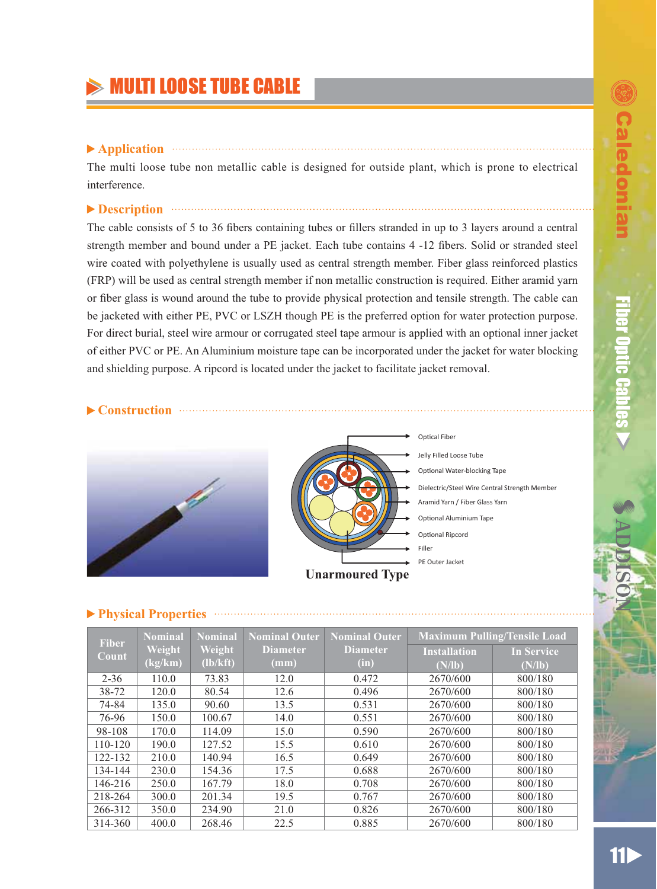# **MULTI LOOSE TUBE CABLE**

### ▶ Application **Application**

The multi loose tube non metallic cable is designed for outside plant, which is prone to electrical interference.

### **Description Example 20 Description**

The cable consists of 5 to 36 fibers containing tubes or fillers stranded in up to 3 layers around a central strength member and bound under a PE jacket. Each tube contains 4 -12 fibers. Solid or stranded steel wire coated with polyethylene is usually used as central strength member. Fiber glass reinforced plastics (FRP) will be used as central strength member if non metallic construction is required. Either aramid yarn or fiber glass is wound around the tube to provide physical protection and tensile strength. The cable can be jacketed with either PE, PVC or LSZH though PE is the preferred option for water protection purpose. For direct burial, steel wire armour or corrugated steel tape armour is applied with an optional inner jacket of either PVC or PE. An Aluminium moisture tape can be incorporated under the jacket for water blocking and shielding purpose. A ripcord is located under the jacket to facilitate jacket removal.

#### **Construction**





Dielectric/Steel Wire Central Strength Member Optical Fiber Jelly Filled Loose Tube Optional Water-blocking Tape Aramid Yarn / Fiber Glass Yarn Optional Aluminium Tape PE Outer Jacket **Filler** Optional Ripcord

#### **Physical Properties**

| <b>Fiber</b> | <b>Nominal</b> | <b>Nominal</b> | <b>Nominal Outer</b> | <b>Nominal Outer</b> |                     | <b>Maximum Pulling/Tensile Load</b> |
|--------------|----------------|----------------|----------------------|----------------------|---------------------|-------------------------------------|
| Count        | Weight         | Weight         | <b>Diameter</b>      | <b>Diameter</b>      | <b>Installation</b> | <b>In Service</b>                   |
|              | (kg/km)        | (lb/kft)       | $(\mathbf{mm})$      | (in)                 | (N/lb)              | (N/lb)                              |
| $2 - 36$     | 110.0          | 73.83          | 12.0                 | 0.472                | 2670/600            | 800/180                             |
| 38-72        | 120.0          | 80.54          | 12.6                 | 0.496                | 2670/600            | 800/180                             |
| 74-84        | 135.0          | 90.60          | 13.5                 | 0.531                | 2670/600            | 800/180                             |
| 76-96        | 150.0          | 100.67         | 14.0                 | 0.551                | 2670/600            | 800/180                             |
| 98-108       | 170.0          | 114.09         | 15.0                 | 0.590                | 2670/600            | 800/180                             |
| 110-120      | 190.0          | 127.52         | 15.5                 | 0.610                | 2670/600            | 800/180                             |
| 122-132      | 210.0          | 140.94         | 16.5                 | 0.649                | 2670/600            | 800/180                             |
| 134-144      | 230.0          | 154.36         | 17.5                 | 0.688                | 2670/600            | 800/180                             |
| 146-216      | 250.0          | 167.79         | 18.0                 | 0.708                | 2670/600            | 800/180                             |
| 218-264      | 300.0          | 201.34         | 19.5                 | 0.767                | 2670/600            | 800/180                             |
| 266-312      | 350.0          | 234.90         | 21.0                 | 0.826                | 2670/600            | 800/180                             |
| 314-360      | 400.0          | 268.46         | 22.5                 | 0.885                | 2670/600            | 800/180                             |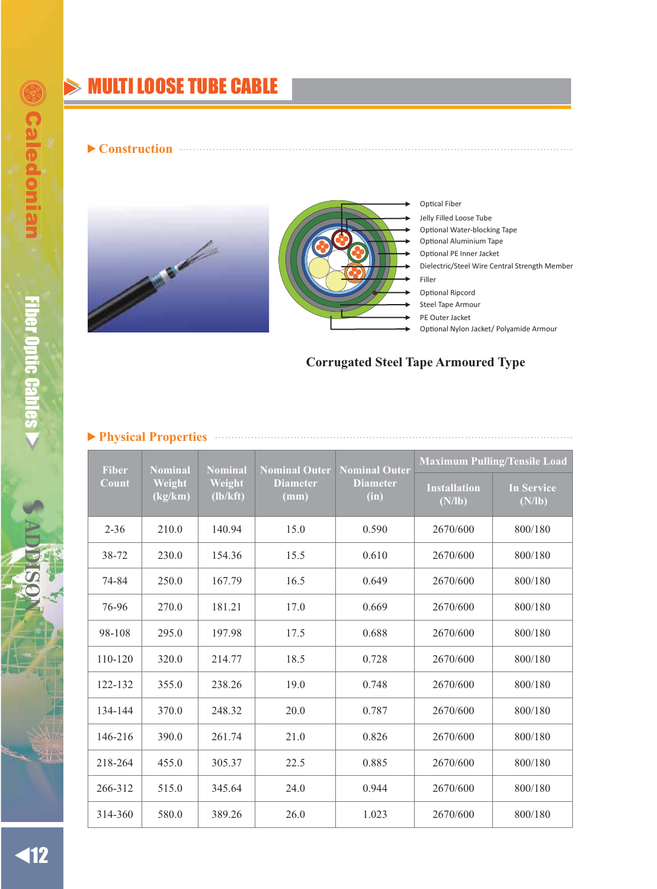# **MULTI LOOSE TUBE CABLE**

**Construction**





**Optical Fiber** Jelly Filled Loose Tube Optional Water-blocking Tape Dielectric/Steel Wire Central Strength Member PE Outer Jacket Steel Tape Armour Optional Ripcord Optional Aluminium Tape Optional PE Inner Jacket Optional Nylon Jacket/ Polyamide Armour Filler

# **Corrugated Steel Tape Armoured Type**

### **Physical Properties**

| <b>Fiber</b> | <b>Nominal</b>    | <b>Nominal</b>     | <b>Nominal Outer</b>    | <b>Nominal Outer</b>    | <b>Maximum Pulling/Tensile Load</b> |                             |
|--------------|-------------------|--------------------|-------------------------|-------------------------|-------------------------------------|-----------------------------|
| Count        | Weight<br>(kg/km) | Weight<br>(lb/kft) | <b>Diameter</b><br>(mm) | <b>Diameter</b><br>(in) | <b>Installation</b><br>(N/lb)       | <b>In Service</b><br>(N/lb) |
| $2 - 36$     | 210.0             | 140.94             | 15.0                    | 0.590                   | 2670/600                            | 800/180                     |
| 38-72        | 230.0             | 154.36             | 15.5                    | 0.610                   | 2670/600                            | 800/180                     |
| 74-84        | 250.0             | 167.79             | 16.5                    | 0.649                   | 2670/600                            | 800/180                     |
| 76-96        | 270.0             | 181.21             | 17.0                    | 0.669                   | 2670/600                            | 800/180                     |
| 98-108       | 295.0             | 197.98             | 17.5                    | 0.688                   | 2670/600                            | 800/180                     |
| 110-120      | 320.0             | 214.77             | 18.5                    | 0.728                   | 2670/600                            | 800/180                     |
| 122-132      | 355.0             | 238.26             | 19.0                    | 0.748                   | 2670/600                            | 800/180                     |
| 134-144      | 370.0             | 248.32             | 20.0                    | 0.787                   | 2670/600                            | 800/180                     |
| 146-216      | 390.0             | 261.74             | 21.0                    | 0.826                   | 2670/600                            | 800/180                     |
| 218-264      | 455.0             | 305.37             | 22.5                    | 0.885                   | 2670/600                            | 800/180                     |
| 266-312      | 515.0             | 345.64             | 24.0                    | 0.944                   | 2670/600                            | 800/180                     |
| 314-360      | 580.0             | 389.26             | 26.0                    | 1.023                   | 2670/600                            | 800/180                     |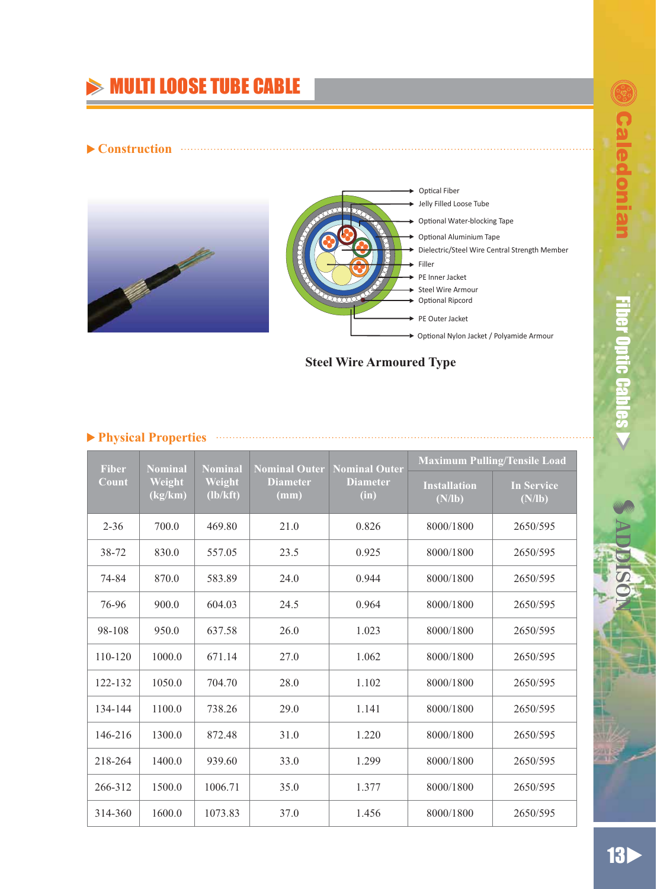# $\gg$  MULTI LOOSE TUBE CABLE

#### ▶ Construction



# **Steel Wire Armoured Type**

|  |  |  | ▶ Physical Properties | . |
|--|--|--|-----------------------|---|
|--|--|--|-----------------------|---|

| <b>Fiber</b> | <b>Nominal</b>    | <b>Nominal</b>     | <b>Nominal Outer</b>               | <b>Nominal Outer</b>    | <b>Maximum Pulling/Tensile Load</b> |                             |
|--------------|-------------------|--------------------|------------------------------------|-------------------------|-------------------------------------|-----------------------------|
| Count        | Weight<br>(kg/km) | Weight<br>(lb/kft) | <b>Diameter</b><br>$(\mathbf{mm})$ | <b>Diameter</b><br>(in) | <b>Installation</b><br>(N/lb)       | <b>In Service</b><br>(N/lb) |
| $2 - 36$     | 700.0             | 469.80             | 21.0                               | 0.826                   | 8000/1800                           | 2650/595                    |
| 38-72        | 830.0             | 557.05             | 23.5                               | 0.925                   | 8000/1800                           | 2650/595                    |
| 74-84        | 870.0             | 583.89             | 24.0                               | 0.944                   | 8000/1800                           | 2650/595                    |
| 76-96        | 900.0             | 604.03             | 24.5                               | 0.964                   | 8000/1800                           | 2650/595                    |
| 98-108       | 950.0             | 637.58             | 26.0                               | 1.023                   | 8000/1800                           | 2650/595                    |
| 110-120      | 1000.0            | 671.14             | 27.0                               | 1.062                   | 8000/1800                           | 2650/595                    |
| 122-132      | 1050.0            | 704.70             | 28.0                               | 1.102                   | 8000/1800                           | 2650/595                    |
| 134-144      | 1100.0            | 738.26             | 29.0                               | 1.141                   | 8000/1800                           | 2650/595                    |
| 146-216      | 1300.0            | 872.48             | 31.0                               | 1.220                   | 8000/1800                           | 2650/595                    |
| 218-264      | 1400.0            | 939.60             | 33.0                               | 1.299                   | 8000/1800                           | 2650/595                    |
| 266-312      | 1500.0            | 1006.71            | 35.0                               | 1.377                   | 8000/1800                           | 2650/595                    |
| 314-360      | 1600.0            | 1073.83            | 37.0                               | 1.456                   | 8000/1800                           | 2650/595                    |

ƷƷ